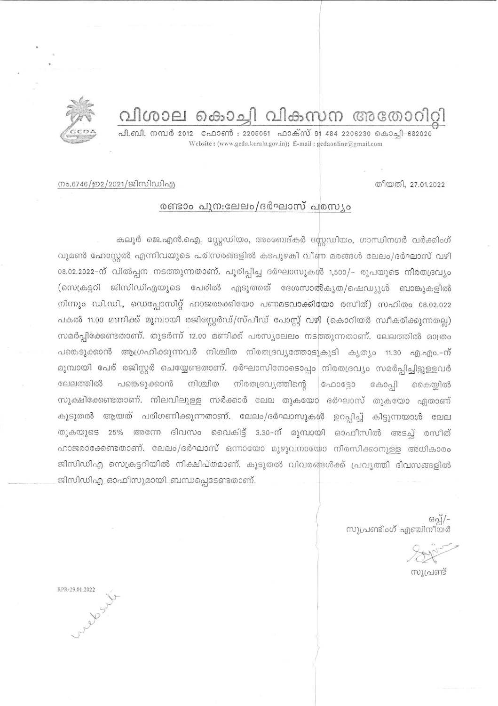വിശാല കൊച്ചി വികസന അതോറി



പി.ബി. നമ്പർ 2012 - ഫോൺ : 2205061 - ഫാക്സ് 91 484 2206230 കൊച്ചി-682020 Website: (www.gcda.kerala.gov.in); E-mail: gcdaonline@gmail.com

തീയതി, 27.01.2022

നം.6746/ഇ2/2021/ജിസിഡിഎ

## രണ്ടാം പുന:ലേലം/ദർഘാസ് പരസ്യം

കലൂർ ജെ.എൻ.ഐ. സ്റ്റേഡിയം, അംബേദ്കർ സ്റ്റേഡിയം, ഗാന്ധിനഗർ വർക്കിംഗ് വുമൺ ഹോസ്റ്റൽ എന്നിവയുടെ പരിസരങ്ങളിൽ കടപുഴകി വീണ മരങ്ങൾ ലേലം/ദർഘാസ് വഴി 08.02.2022-ന് വിൽപ്പന നടത്തുന്നതാണ്. പൂരിപ്പിച്ച ദർഘാസുകൾ 1,500/- രൂപയുടെ നിരതദ്രവ്യം (സെക്രട്ടറി ജിസിഡിഎയുടെ പേരിൽ എടുത്തത് ദേശസാൽകൃത/ഷെഡ്യൂൾ ബാങ്കുകളിൽ നിന്നും ഡി.ഡി., ഡെപ്പോസിറ്റ് ഹാജരാക്കിയോ പണമടവാക്കിയോ രസീത്) സഹിതം 08.02.022 പകൽ 11.00 മണിക്ക് മുമ്പായി രജിസ്റ്റേർഡ്/സ്പീഡ് പോസ്റ്റ് വഴി (കൊറിയർ സ്വീകരിക്കുന്നതല്ല) സമർപ്പിക്കേണ്ടതാണ്. തുടർന്ന് 12.00 മണിക്ക് പരസ്യലേലം നടത്തുന്നതാണ്. ലേലത്തിൽ മാത്രം പങ്കെടുക്കാൻ ആഗ്രഹിക്കുന്നവർ നിശ്ചിത നിരതദ്രവ്യത്തോടുകൂടി കൃത്യം 11.30 എ.എം.-ന് മുമ്പായി പേര് രജിസ്റ്റർ ചെയ്യേണ്ടതാണ്. ദർഘാസിനോടൊപ്പം നിരതദ്രവ്യം സമർപ്പിച്ചിട്ടുള്ളവർ പങ്കെടുക്കാൻ ലേലത്തിൽ നിശ്ചിത നിരതദ്രവ്യത്തിന്റെ  $\cos 9$ கே0்வி കൈയ്യിൽ സൂക്ഷിക്കേണ്ടതാണ്. നിലവിലുള്ള സർക്കാർ ലേല തുകയോ ദർഘാസ് തുകയോ ഏതാണ് കൂടുതൽ ആയത് പരിഗണിക്കുന്നതാണ്. ലേലം/ദർഘാസുകൾ ഉറപ്പിച്ച് കിട്ടുന്നയാൾ ലേല തുകയുടെ 25% അന്നേ ദിവസം വൈകിട്ട് 3.30-ന് മുമ്പായി ഓഫീസിൽ അടച്ച് രസീത് ഹാജരാക്കേണ്ടതാണ്. ലേലം/ദർഘാസ് ഒന്നായോ മുഴുവനായോ നിരസിക്കാനുള്ള അധികാരം ജിസിഡിഎ സെക്രട്ടറിയിൽ നിക്ഷിപ്തമാണ്. കൂടുതൽ വിവരങ്ങൾക്ക് പ്രവൃത്തി ദിവസങ്ങളിൽ ജിസിഡിഎ ഓഫീസുമായി ബന്ധപ്പെടേണ്ടതാണ്.

-/[്റ്റെ<br>സൂപ്രണ്ടിംഗ് എഞ്ചിനീയർ

സ്വപണ്ട്

RPR-29.01.2022